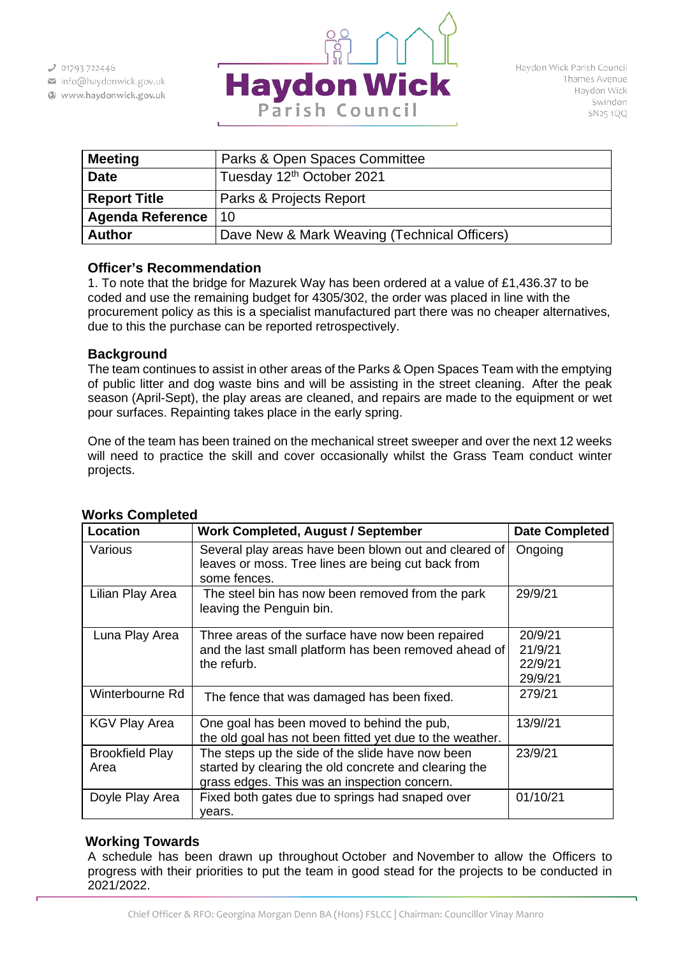- info@haydonwick.gov.uk
- Www.haydonwick.gov.uk



| <b>Meeting</b>          | Parks & Open Spaces Committee                |
|-------------------------|----------------------------------------------|
| <b>Date</b>             | Tuesday 12 <sup>th</sup> October 2021        |
| <b>Report Title</b>     | Parks & Projects Report                      |
| <b>Agenda Reference</b> | 10                                           |
| <b>Author</b>           | Dave New & Mark Weaving (Technical Officers) |

### **Officer's Recommendation**

1. To note that the bridge for Mazurek Way has been ordered at a value of £1,436.37 to be coded and use the remaining budget for 4305/302, the order was placed in line with the procurement policy as this is a specialist manufactured part there was no cheaper alternatives, due to this the purchase can be reported retrospectively.

## **Background**

The team continues to assist in other areas of the Parks & Open Spaces Team with the emptying of public litter and dog waste bins and will be assisting in the street cleaning. After the peak season (April-Sept), the play areas are cleaned, and repairs are made to the equipment or wet pour surfaces. Repainting takes place in the early spring.

One of the team has been trained on the mechanical street sweeper and over the next 12 weeks will need to practice the skill and cover occasionally whilst the Grass Team conduct winter projects.

| Location                       | Work Completed, August / September                                                                                                                        | <b>Date Completed</b> |
|--------------------------------|-----------------------------------------------------------------------------------------------------------------------------------------------------------|-----------------------|
| Various                        | Several play areas have been blown out and cleared of<br>leaves or moss. Tree lines are being cut back from<br>some fences.                               | Ongoing               |
| Lilian Play Area               | The steel bin has now been removed from the park<br>leaving the Penguin bin.                                                                              | 29/9/21               |
| Luna Play Area                 | Three areas of the surface have now been repaired                                                                                                         | 20/9/21               |
|                                | and the last small platform has been removed ahead of                                                                                                     | 21/9/21               |
|                                | the refurb.                                                                                                                                               | 22/9/21               |
|                                |                                                                                                                                                           | 29/9/21               |
| Winterbourne Rd                | The fence that was damaged has been fixed.                                                                                                                | 279/21                |
| <b>KGV Play Area</b>           | One goal has been moved to behind the pub,<br>the old goal has not been fitted yet due to the weather.                                                    | 13/9//21              |
| <b>Brookfield Play</b><br>Area | The steps up the side of the slide have now been<br>started by clearing the old concrete and clearing the<br>grass edges. This was an inspection concern. | 23/9/21               |
| Doyle Play Area                | Fixed both gates due to springs had snaped over<br>years.                                                                                                 | 01/10/21              |

### **Works Completed**

### **Working Towards**

A schedule has been drawn up throughout October and November to allow the Officers to progress with their priorities to put the team in good stead for the projects to be conducted in 2021/2022.